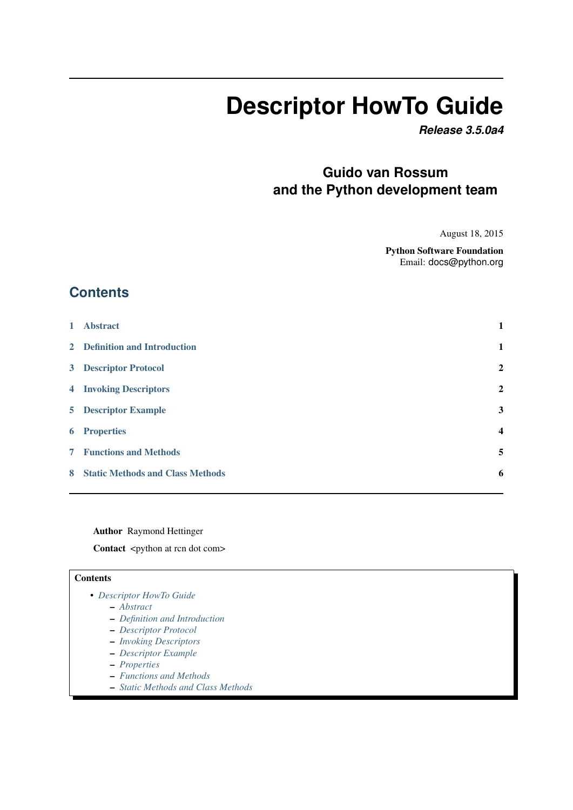# **Descriptor HowTo Guide**

*Release 3.5.0a4*

# **Guido van Rossum and the Python development team**

August 18, 2015

Python Software Foundation Email: docs@python.org

# **Contents**

| $\mathbf{1}$   | <b>Abstract</b>                         | 1                       |
|----------------|-----------------------------------------|-------------------------|
|                | 2 Definition and Introduction           | 1                       |
|                | <b>3</b> Descriptor Protocol            | $\overline{2}$          |
|                | <b>4</b> Invoking Descriptors           | $\overline{2}$          |
|                | <b>5</b> Descriptor Example             | 3                       |
|                | <b>6</b> Properties                     | $\overline{\mathbf{4}}$ |
| 7 <sup>7</sup> | <b>Functions and Methods</b>            | 5                       |
| 8              | <b>Static Methods and Class Methods</b> | 6                       |
|                |                                         |                         |

Author Raymond Hettinger

Contact <python at rcn dot com>

#### **Contents**

- *[Descriptor HowTo Guide](#page-1-0)*
	- *[Abstract](#page-1-0)*
	- *[Definition and Introduction](#page-1-1)*
	- *[Descriptor Protocol](#page-1-2)*
	- *[Invoking Descriptors](#page-1-3)*
	- *[Descriptor Example](#page-2-0)*
	- *[Properties](#page-3-0)*
	- *[Functions and Methods](#page-4-0)*
	- *[Static Methods and Class Methods](#page-5-0)*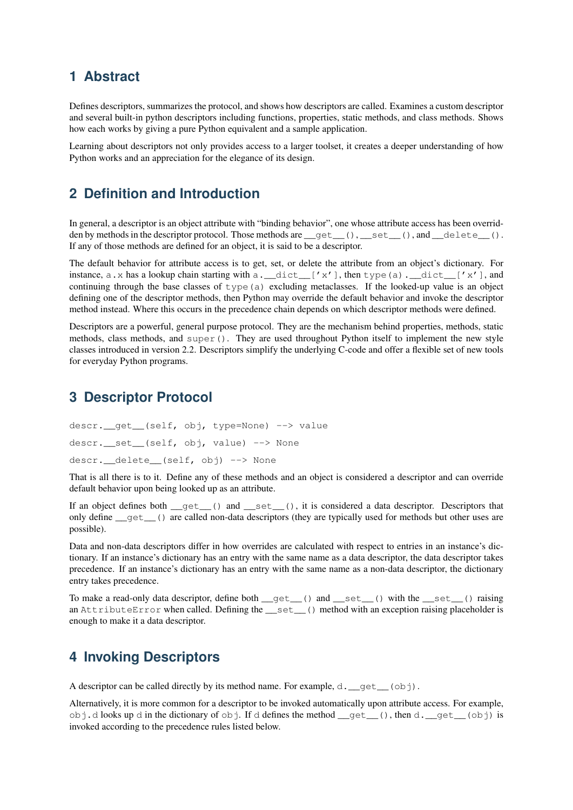## <span id="page-1-0"></span>**1 Abstract**

Defines descriptors, summarizes the protocol, and shows how descriptors are called. Examines a custom descriptor and several built-in python descriptors including functions, properties, static methods, and class methods. Shows how each works by giving a pure Python equivalent and a sample application.

Learning about descriptors not only provides access to a larger toolset, it creates a deeper understanding of how Python works and an appreciation for the elegance of its design.

## <span id="page-1-1"></span>**2 Definition and Introduction**

In general, a descriptor is an object attribute with "binding behavior", one whose attribute access has been overridden by methods in the descriptor protocol. Those methods are  $\_get\_()$ ,  $\_set\_()$ , and  $\_delete\_()$ . If any of those methods are defined for an object, it is said to be a descriptor.

The default behavior for attribute access is to get, set, or delete the attribute from an object's dictionary. For instance, a.x has a lookup chain starting with a.\_\_dict\_\_['x'], then type(a).\_\_dict\_\_['x'], and continuing through the base classes of  $type(a)$  excluding metaclasses. If the looked-up value is an object defining one of the descriptor methods, then Python may override the default behavior and invoke the descriptor method instead. Where this occurs in the precedence chain depends on which descriptor methods were defined.

Descriptors are a powerful, general purpose protocol. They are the mechanism behind properties, methods, static methods, class methods, and super(). They are used throughout Python itself to implement the new style classes introduced in version 2.2. Descriptors simplify the underlying C-code and offer a flexible set of new tools for everyday Python programs.

#### <span id="page-1-2"></span>**3 Descriptor Protocol**

```
descr.__get__(self, obj, type=None) --> value
descr. set (self, obj, value) --> None
descr. delete (self, obj) --> None
```
That is all there is to it. Define any of these methods and an object is considered a descriptor and can override default behavior upon being looked up as an attribute.

If an object defines both \_get\_() and \_set\_(), it is considered a data descriptor. Descriptors that only define \_\_get\_\_() are called non-data descriptors (they are typically used for methods but other uses are possible).

Data and non-data descriptors differ in how overrides are calculated with respect to entries in an instance's dictionary. If an instance's dictionary has an entry with the same name as a data descriptor, the data descriptor takes precedence. If an instance's dictionary has an entry with the same name as a non-data descriptor, the dictionary entry takes precedence.

To make a read-only data descriptor, define both  $qet$  () and  $set$  () with the set () raising an AttributeError when called. Defining the \_\_set\_\_() method with an exception raising placeholder is enough to make it a data descriptor.

### <span id="page-1-3"></span>**4 Invoking Descriptors**

A descriptor can be called directly by its method name. For example,  $d_{\text{L}}$  get  $(q \circ b)$ .

Alternatively, it is more common for a descriptor to be invoked automatically upon attribute access. For example, obj.d looks up d in the dictionary of  $obj$ . If d defines the method  $get$  (), then d. get (obj) is invoked according to the precedence rules listed below.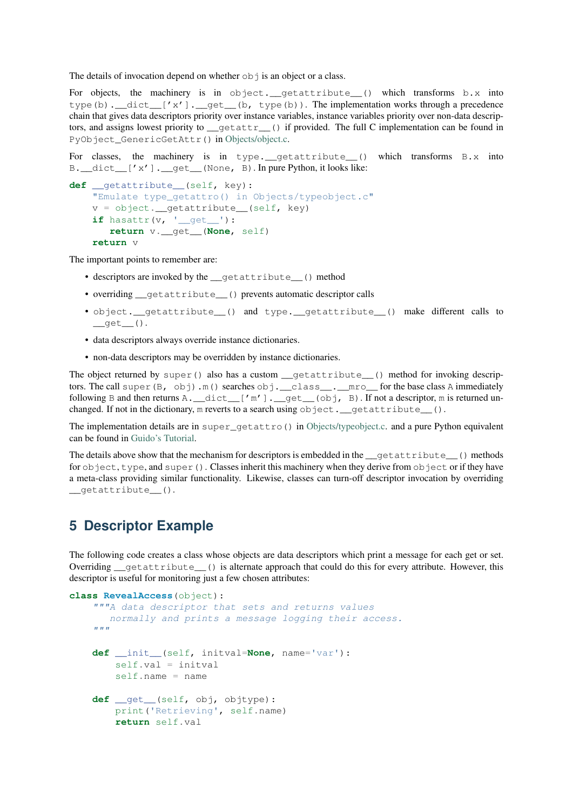The details of invocation depend on whether  $\circ$ b  $\dagger$  is an object or a class.

For objects, the machinery is in object.\_\_getattribute\_\_() which transforms b.x into type(b).  $idict$  ['x'].  $get$  (b, type(b)). The implementation works through a precedence chain that gives data descriptors priority over instance variables, instance variables priority over non-data descriptors, and assigns lowest priority to  $q$  getattr $q$  () if provided. The full C implementation can be found in PyObject\_GenericGetAttr() in [Objects/object.c.](https://hg.python.org/cpython/file/default/Objects/object.c)

For classes, the machinery is in type. getattribute  $($ ) which transforms B.x into B. \_dict\_['x']. \_qet\_(None, B). In pure Python, it looks like:

```
def __getattribute__(self, key):
    "Emulate type qetattro() in Objects/typeobject.c"
    v = object.__getattribute__(self, key)if hasattr(v, '__get__'):
       return v.__get__(None, self)
    return v
```
The important points to remember are:

- descriptors are invoked by the \_\_getattribute\_\_() method
- overriding qetattribute () prevents automatic descriptor calls
- object.\_\_getattribute\_\_() and type.\_\_getattribute\_\_() make different calls to  $\_qet$  $()$ .
- data descriptors always override instance dictionaries.
- non-data descriptors may be overridden by instance dictionaries.

The object returned by super() also has a custom  $\sigma$  getattribute () method for invoking descriptors. The call super(B, obj).m() searches obj. \_\_class\_\_. \_\_mro\_\_ for the base class A immediately following B and then returns A. \_\_dict\_\_['m']. \_\_qet\_\_(obj, B). If not a descriptor, m is returned unchanged. If not in the dictionary, m reverts to a search using object. \_\_getattribute\_().

The implementation details are in super\_getattro() in [Objects/typeobject.c.](https://hg.python.org/cpython/file/default/Objects/typeobject.c) and a pure Python equivalent can be found in [Guido's Tutorial.](https://www.python.org/download/releases/2.2.3/descrintro/#cooperation)

The details above show that the mechanism for descriptors is embedded in the  $\_\text{getattribute}$  () methods for  $ob\texttt{ject}, \texttt{type},$  and  $super()$ . Classes inherit this machinery when they derive from  $ob\texttt{ject}$  or if they have a meta-class providing similar functionality. Likewise, classes can turn-off descriptor invocation by overriding \_\_getattribute\_\_().

## <span id="page-2-0"></span>**5 Descriptor Example**

The following code creates a class whose objects are data descriptors which print a message for each get or set. Overriding getattribute () is alternate approach that could do this for every attribute. However, this descriptor is useful for monitoring just a few chosen attributes:

```
class RevealAccess(object):
```

```
"""A data descriptor that sets and returns values
   normally and prints a message logging their access.
^{\prime\prime\prime\prime\prime\prime\prime}def __init__(self, initval=None, name='var'):
    self.val = initval
    self.name = namedef qet (self, obj, objtype):
    print('Retrieving', self.name)
    return self.val
```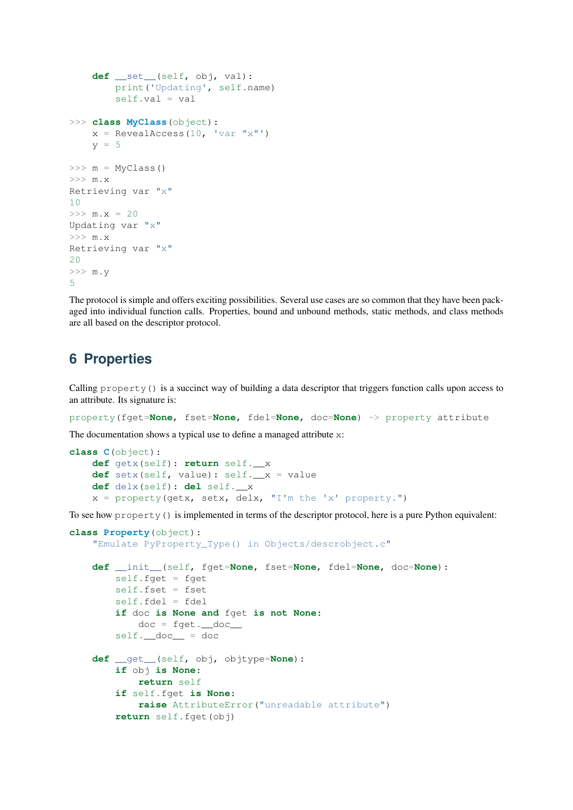```
def __set__(self, obj, val):
         print('Updating', self.name)
         self.val = val
>>> class MyClass(object):
    x = RevealAccess(10, 'var "x"')
    v = 5\Rightarrow \ge m = MvClass()>>>~{\tt m.x}Retrieving var "x"
10
>> m.x = 20
Updating var "x"
>>>~\mathfrak{m}\,. x
Retrieving var "x"
20
>> m.y
5
```
The protocol is simple and offers exciting possibilities. Several use cases are so common that they have been packaged into individual function calls. Properties, bound and unbound methods, static methods, and class methods are all based on the descriptor protocol.

## <span id="page-3-0"></span>**6 Properties**

Calling property() is a succinct way of building a data descriptor that triggers function calls upon access to an attribute. Its signature is:

property(fget=**None**, fset=**None**, fdel=**None**, doc=**None**) -> property attribute

The documentation shows a typical use to define a managed attribute x:

```
class C(object):
   def getx(self): return self.__x
    def setx(self, value): self. x = valuedef delx(self): del self.__x
    x = property(getx, setx, delx, "I'm the 'x' property."
```
To see how property() is implemented in terms of the descriptor protocol, here is a pure Python equivalent:

```
class Property(object):
    "Emulate PyProperty_Type() in Objects/descrobject.c"
    def __init__(self, fget=None, fset=None, fdel=None, doc=None):
        self.fget = fget
        self.fset = fset
        self.fdel = fdel
        if doc is None and fget is not None:
            doc = fget.__doc__self.__doc__ = docdef __get__(self, obj, objtype=None):
        if obj is None:
            return self
        if self.fget is None:
            raise AttributeError("unreadable attribute")
        return self.fget(obj)
```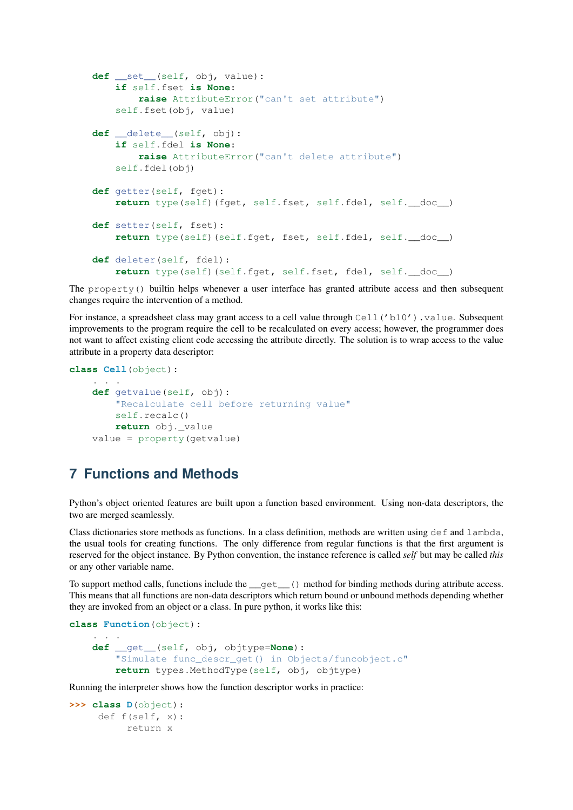```
def __set__(self, obj, value):
    if self.fset is None:
       raise AttributeError("can't set attribute")
    self.fset(obj, value)
def __delete__(self, obj):
    if self.fdel is None:
        raise AttributeError("can't delete attribute")
    self.fdel(obj)
def getter(self, fget):
    return type(self)(fget, self.fset, self.fdel, self.__doc__)
def setter(self, fset):
    return type(self)(self.fget, fset, self.fdel, self.__doc__)
def deleter(self, fdel):
    return type(self)(self.fget, self.fset, fdel, self.__doc__)
```
The property() builtin helps whenever a user interface has granted attribute access and then subsequent changes require the intervention of a method.

For instance, a spreadsheet class may grant access to a cell value through Cell ('b10'). value. Subsequent improvements to the program require the cell to be recalculated on every access; however, the programmer does not want to affect existing client code accessing the attribute directly. The solution is to wrap access to the value attribute in a property data descriptor:

```
class Cell(object):
    . . .
    def getvalue(self, obj):
        "Recalculate cell before returning value"
        self.recalc()
        return obj._value
    value = property(getvalue)
```
## <span id="page-4-0"></span>**7 Functions and Methods**

Python's object oriented features are built upon a function based environment. Using non-data descriptors, the two are merged seamlessly.

Class dictionaries store methods as functions. In a class definition, methods are written using  $\det$  and lambda, the usual tools for creating functions. The only difference from regular functions is that the first argument is reserved for the object instance. By Python convention, the instance reference is called *self* but may be called *this* or any other variable name.

To support method calls, functions include the  ${\underline{\hspace{1mm}}}\text{get}\underline{\hspace{1mm}}$  () method for binding methods during attribute access. This means that all functions are non-data descriptors which return bound or unbound methods depending whether they are invoked from an object or a class. In pure python, it works like this:

```
class Function(object):
    . . .
    def __get__(self, obj, objtype=None):
        "Simulate func descr qet() in Objects/funcobject.c"
        return types.MethodType(self, obj, objtype)
```
Running the interpreter shows how the function descriptor works in practice:

```
>>> class D(object):
     def f(self, x):
          return x
```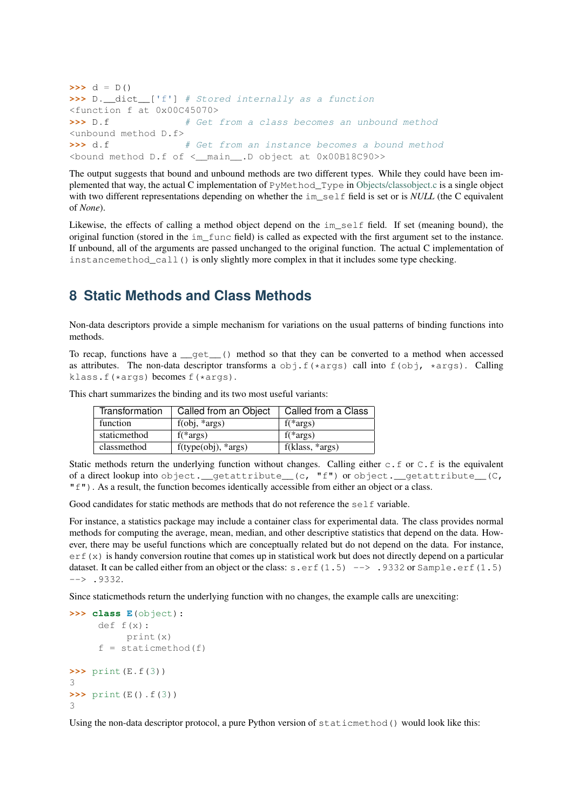```
\Rightarrow d = D()>>> D.__dict__['f'] # Stored internally as a function
<function f at 0x00C45070>
>>> D.f \# Get from a class becomes an unbound method
<unbound method D.f>
>>> d.f \qquad \qquad # Get from an instance becomes a bound method
<bound method D.f of <__main__.D object at 0x00B18C90>>
```
The output suggests that bound and unbound methods are two different types. While they could have been implemented that way, the actual C implementation of PyMethod\_Type in [Objects/classobject.c](https://hg.python.org/cpython/file/default/Objects/classobject.c) is a single object with two different representations depending on whether the im self field is set or is *NULL* (the C equivalent of *None*).

Likewise, the effects of calling a method object depend on the im\_self field. If set (meaning bound), the original function (stored in the im\_func field) is called as expected with the first argument set to the instance. If unbound, all of the arguments are passed unchanged to the original function. The actual C implementation of instancemethod\_call() is only slightly more complex in that it includes some type checking.

## <span id="page-5-0"></span>**8 Static Methods and Class Methods**

Non-data descriptors provide a simple mechanism for variations on the usual patterns of binding functions into methods.

To recap, functions have a \_\_get\_\_() method so that they can be converted to a method when accessed as attributes. The non-data descriptor transforms a  $obj. f(*args)$  call into  $f(obj, *args)$ . Calling klass.f(\*args) becomes f(\*args).

This chart summarizes the binding and its two most useful variants:

| Transformation | Called from an Object             | Called from a Class |
|----------------|-----------------------------------|---------------------|
| function       | $f(obj, *args)$                   | $f(*args)$          |
| staticmethod   | $f(*args)$                        | $f(*args)$          |
| classmethod    | $f(type(obj), \cdot \text{args})$ | $f(klass, *args)$   |

Static methods return the underlying function without changes. Calling either c.f or C.f is the equivalent of a direct lookup into object.\_\_getattribute\_\_(c, "f") or object.\_\_getattribute\_\_(C,  $\mathbb{T} \subset \mathbb{T}$ ). As a result, the function becomes identically accessible from either an object or a class.

Good candidates for static methods are methods that do not reference the self variable.

For instance, a statistics package may include a container class for experimental data. The class provides normal methods for computing the average, mean, median, and other descriptive statistics that depend on the data. However, there may be useful functions which are conceptually related but do not depend on the data. For instance,  $erf(x)$  is handy conversion routine that comes up in statistical work but does not directly depend on a particular dataset. It can be called either from an object or the class:  $s.erf(1.5)$  --> .9332 or Sample.erf(1.5)  $\leftarrow$  .9332.

Since staticmethods return the underlying function with no changes, the example calls are unexciting:

```
>>> class E(object):
     def f(x):
         print(x)
     f =staticmethod(f)
>>> print(E.f(3))
3
>>> print(E().f(3))
3
```
Using the non-data descriptor protocol, a pure Python version of staticmethod() would look like this: